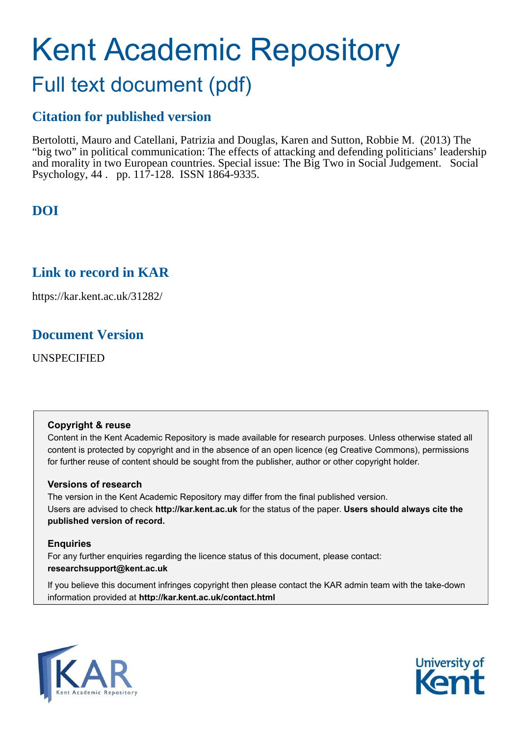# Kent Academic Repository

# Full text document (pdf)

## **Citation for published version**

Bertolotti, Mauro and Catellani, Patrizia and Douglas, Karen and Sutton, Robbie M. (2013) The "big two" in political communication: The effects of attacking and defending politicians' leadership and morality in two European countries. Special issue: The Big Two in Social Judgement. Social Psychology, 44 . pp. 117-128. ISSN 1864-9335.

## **DOI**

## **Link to record in KAR**

https://kar.kent.ac.uk/31282/

### **Document Version**

UNSPECIFIED

#### **Copyright & reuse**

Content in the Kent Academic Repository is made available for research purposes. Unless otherwise stated all content is protected by copyright and in the absence of an open licence (eg Creative Commons), permissions for further reuse of content should be sought from the publisher, author or other copyright holder.

#### **Versions of research**

The version in the Kent Academic Repository may differ from the final published version. Users are advised to check **http://kar.kent.ac.uk** for the status of the paper. **Users should always cite the published version of record.**

#### **Enquiries**

For any further enquiries regarding the licence status of this document, please contact: **researchsupport@kent.ac.uk**

If you believe this document infringes copyright then please contact the KAR admin team with the take-down information provided at **http://kar.kent.ac.uk/contact.html**



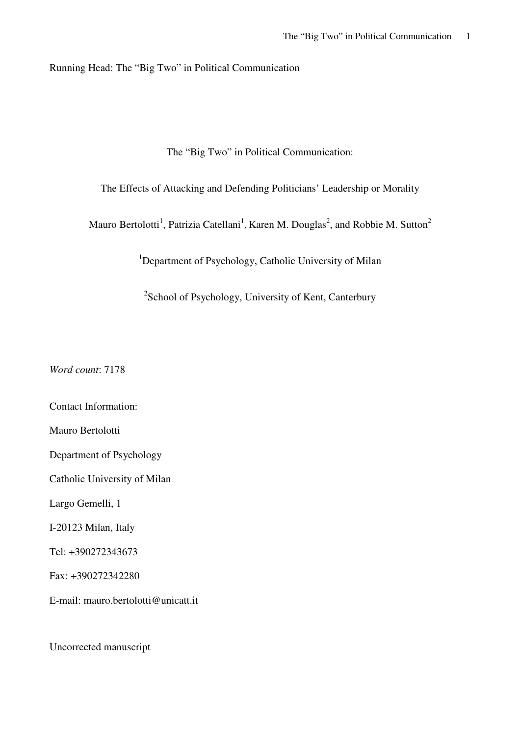Running Head: The "Big Two" in Political Communication

The "Big Two" in Political Communication:

The Effects of Attacking and Defending Politicians' Leadership or Morality

Mauro Bertolotti<sup>1</sup>, Patrizia Catellani<sup>1</sup>, Karen M. Douglas<sup>2</sup>, and Robbie M. Sutton<sup>2</sup>

<sup>1</sup>Department of Psychology, Catholic University of Milan

<sup>2</sup>School of Psychology, University of Kent, Canterbury

*Word count*: 7178

Contact Information: Mauro Bertolotti Department of Psychology Catholic University of Milan Largo Gemelli, 1 I-20123 Milan, Italy Tel: +390272343673 Fax: +390272342280 E-mail: mauro.bertolotti@unicatt.it

Uncorrected manuscript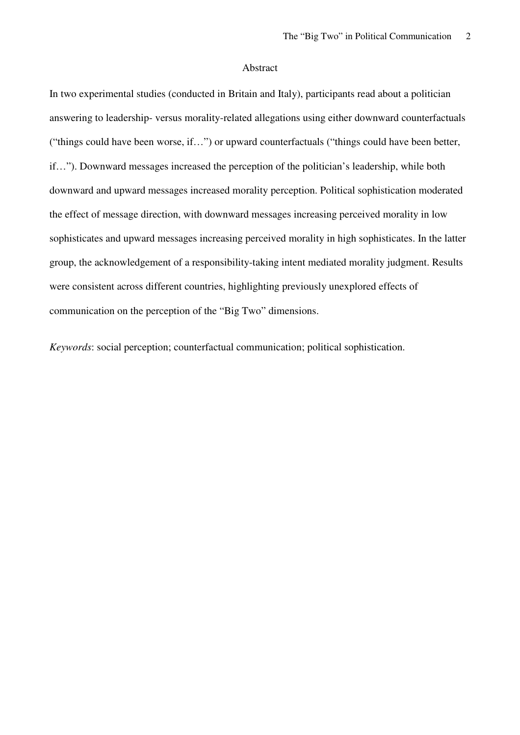#### Abstract

In two experimental studies (conducted in Britain and Italy), participants read about a politician answering to leadership- versus morality-related allegations using either downward counterfactuals ("things could have been worse, if…") or upward counterfactuals ("things could have been better, if…"). Downward messages increased the perception of the politician's leadership, while both downward and upward messages increased morality perception. Political sophistication moderated the effect of message direction, with downward messages increasing perceived morality in low sophisticates and upward messages increasing perceived morality in high sophisticates. In the latter group, the acknowledgement of a responsibility-taking intent mediated morality judgment. Results were consistent across different countries, highlighting previously unexplored effects of communication on the perception of the "Big Two" dimensions.

*Keywords*: social perception; counterfactual communication; political sophistication.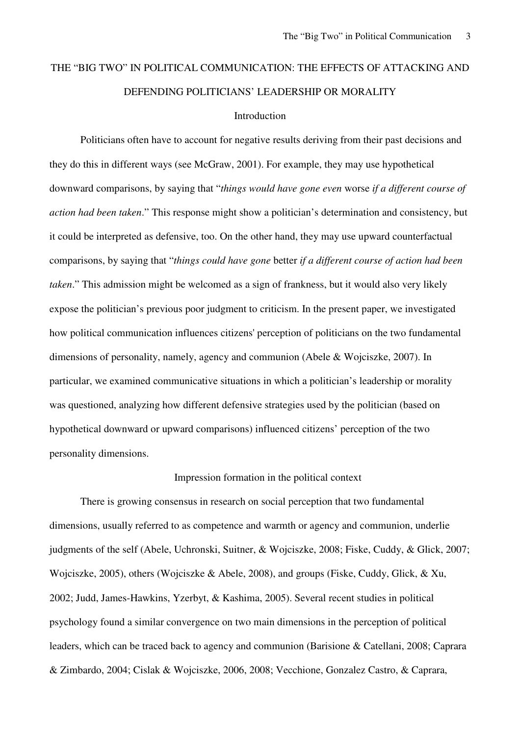## THE "BIG TWO" IN POLITICAL COMMUNICATION: THE EFFECTS OF ATTACKING AND DEFENDING POLITICIANS' LEADERSHIP OR MORALITY

#### Introduction

Politicians often have to account for negative results deriving from their past decisions and they do this in different ways (see McGraw, 2001). For example, they may use hypothetical downward comparisons, by saying that "*things would have gone even* worse *if a different course of action had been taken*." This response might show a politician's determination and consistency, but it could be interpreted as defensive, too. On the other hand, they may use upward counterfactual comparisons, by saying that "*things could have gone* better *if a different course of action had been taken*." This admission might be welcomed as a sign of frankness, but it would also very likely expose the politician's previous poor judgment to criticism. In the present paper, we investigated how political communication influences citizens' perception of politicians on the two fundamental dimensions of personality, namely, agency and communion (Abele & Wojciszke, 2007). In particular, we examined communicative situations in which a politician's leadership or morality was questioned, analyzing how different defensive strategies used by the politician (based on hypothetical downward or upward comparisons) influenced citizens' perception of the two personality dimensions.

#### Impression formation in the political context

There is growing consensus in research on social perception that two fundamental dimensions, usually referred to as competence and warmth or agency and communion, underlie judgments of the self (Abele, Uchronski, Suitner, & Wojciszke, 2008; Fiske, Cuddy, & Glick, 2007; Wojciszke, 2005), others (Wojciszke & Abele, 2008), and groups (Fiske, Cuddy, Glick, & Xu, 2002; Judd, James-Hawkins, Yzerbyt, & Kashima, 2005). Several recent studies in political psychology found a similar convergence on two main dimensions in the perception of political leaders, which can be traced back to agency and communion (Barisione & Catellani, 2008; Caprara & Zimbardo, 2004; Cislak & Wojciszke, 2006, 2008; Vecchione, Gonzalez Castro, & Caprara,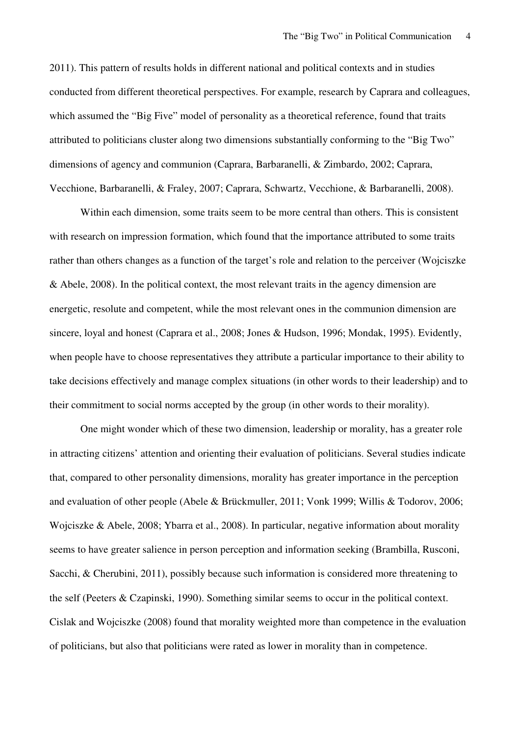2011). This pattern of results holds in different national and political contexts and in studies conducted from different theoretical perspectives. For example, research by Caprara and colleagues, which assumed the "Big Five" model of personality as a theoretical reference, found that traits attributed to politicians cluster along two dimensions substantially conforming to the "Big Two" dimensions of agency and communion (Caprara, Barbaranelli, & Zimbardo, 2002; Caprara, Vecchione, Barbaranelli, & Fraley, 2007; Caprara, Schwartz, Vecchione, & Barbaranelli, 2008).

Within each dimension, some traits seem to be more central than others. This is consistent with research on impression formation, which found that the importance attributed to some traits rather than others changes as a function of the target's role and relation to the perceiver (Wojciszke & Abele, 2008). In the political context, the most relevant traits in the agency dimension are energetic, resolute and competent, while the most relevant ones in the communion dimension are sincere, loyal and honest (Caprara et al., 2008; Jones & Hudson, 1996; Mondak, 1995). Evidently, when people have to choose representatives they attribute a particular importance to their ability to take decisions effectively and manage complex situations (in other words to their leadership) and to their commitment to social norms accepted by the group (in other words to their morality).

One might wonder which of these two dimension, leadership or morality, has a greater role in attracting citizens' attention and orienting their evaluation of politicians. Several studies indicate that, compared to other personality dimensions, morality has greater importance in the perception and evaluation of other people (Abele & Brückmuller, 2011; Vonk 1999; Willis & Todorov, 2006; Wojciszke & Abele, 2008; Ybarra et al., 2008). In particular, negative information about morality seems to have greater salience in person perception and information seeking (Brambilla, Rusconi, Sacchi, & Cherubini, 2011), possibly because such information is considered more threatening to the self (Peeters & Czapinski, 1990). Something similar seems to occur in the political context. Cislak and Wojciszke (2008) found that morality weighted more than competence in the evaluation of politicians, but also that politicians were rated as lower in morality than in competence.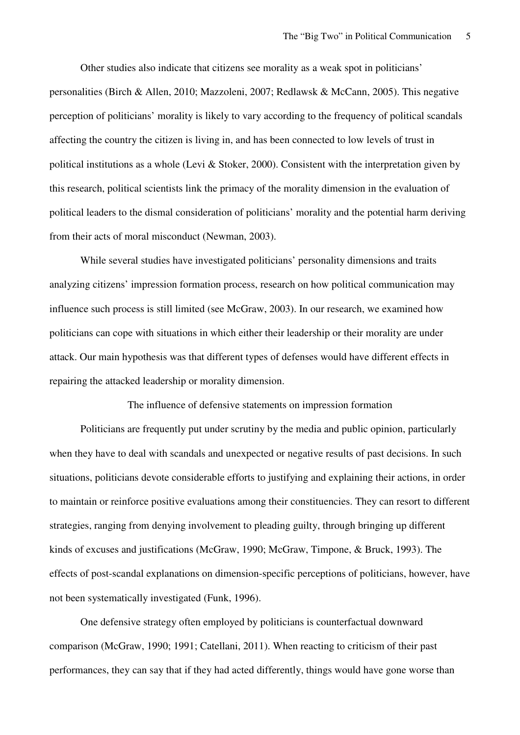Other studies also indicate that citizens see morality as a weak spot in politicians' personalities (Birch & Allen, 2010; Mazzoleni, 2007; Redlawsk & McCann, 2005). This negative perception of politicians' morality is likely to vary according to the frequency of political scandals affecting the country the citizen is living in, and has been connected to low levels of trust in political institutions as a whole (Levi & Stoker, 2000). Consistent with the interpretation given by this research, political scientists link the primacy of the morality dimension in the evaluation of political leaders to the dismal consideration of politicians' morality and the potential harm deriving from their acts of moral misconduct (Newman, 2003).

While several studies have investigated politicians' personality dimensions and traits analyzing citizens' impression formation process, research on how political communication may influence such process is still limited (see McGraw, 2003). In our research, we examined how politicians can cope with situations in which either their leadership or their morality are under attack. Our main hypothesis was that different types of defenses would have different effects in repairing the attacked leadership or morality dimension.

The influence of defensive statements on impression formation

Politicians are frequently put under scrutiny by the media and public opinion, particularly when they have to deal with scandals and unexpected or negative results of past decisions. In such situations, politicians devote considerable efforts to justifying and explaining their actions, in order to maintain or reinforce positive evaluations among their constituencies. They can resort to different strategies, ranging from denying involvement to pleading guilty, through bringing up different kinds of excuses and justifications (McGraw, 1990; McGraw, Timpone, & Bruck, 1993). The effects of post-scandal explanations on dimension-specific perceptions of politicians, however, have not been systematically investigated (Funk, 1996).

One defensive strategy often employed by politicians is counterfactual downward comparison (McGraw, 1990; 1991; Catellani, 2011). When reacting to criticism of their past performances, they can say that if they had acted differently, things would have gone worse than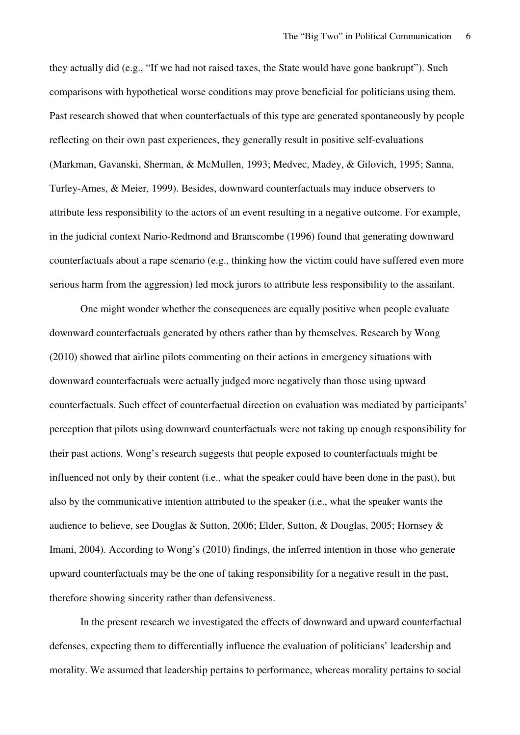they actually did (e.g., "If we had not raised taxes, the State would have gone bankrupt"). Such comparisons with hypothetical worse conditions may prove beneficial for politicians using them. Past research showed that when counterfactuals of this type are generated spontaneously by people reflecting on their own past experiences, they generally result in positive self-evaluations (Markman, Gavanski, Sherman, & McMullen, 1993; Medvec, Madey, & Gilovich, 1995; Sanna, Turley-Ames, & Meier, 1999). Besides, downward counterfactuals may induce observers to attribute less responsibility to the actors of an event resulting in a negative outcome. For example, in the judicial context Nario-Redmond and Branscombe (1996) found that generating downward counterfactuals about a rape scenario (e.g., thinking how the victim could have suffered even more serious harm from the aggression) led mock jurors to attribute less responsibility to the assailant.

One might wonder whether the consequences are equally positive when people evaluate downward counterfactuals generated by others rather than by themselves. Research by Wong (2010) showed that airline pilots commenting on their actions in emergency situations with downward counterfactuals were actually judged more negatively than those using upward counterfactuals. Such effect of counterfactual direction on evaluation was mediated by participants' perception that pilots using downward counterfactuals were not taking up enough responsibility for their past actions. Wong's research suggests that people exposed to counterfactuals might be influenced not only by their content (i.e., what the speaker could have been done in the past), but also by the communicative intention attributed to the speaker (i.e., what the speaker wants the audience to believe, see Douglas & Sutton, 2006; Elder, Sutton, & Douglas, 2005; Hornsey & Imani, 2004). According to Wong's (2010) findings, the inferred intention in those who generate upward counterfactuals may be the one of taking responsibility for a negative result in the past, therefore showing sincerity rather than defensiveness.

In the present research we investigated the effects of downward and upward counterfactual defenses, expecting them to differentially influence the evaluation of politicians' leadership and morality. We assumed that leadership pertains to performance, whereas morality pertains to social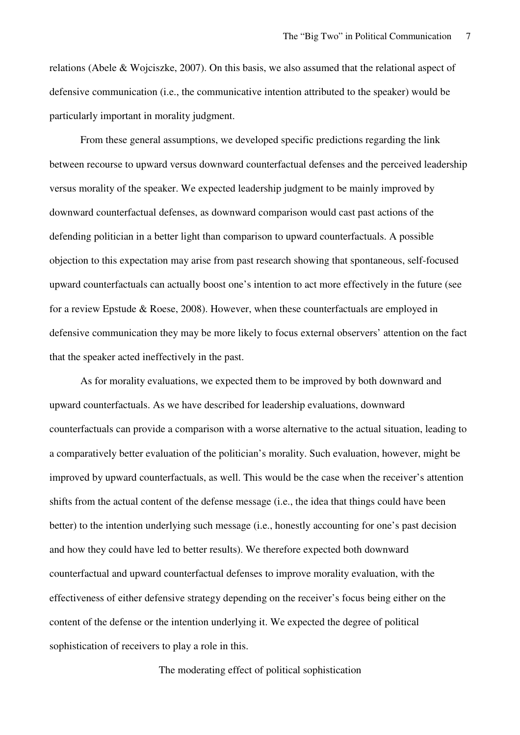relations (Abele & Wojciszke, 2007). On this basis, we also assumed that the relational aspect of defensive communication (i.e., the communicative intention attributed to the speaker) would be particularly important in morality judgment.

From these general assumptions, we developed specific predictions regarding the link between recourse to upward versus downward counterfactual defenses and the perceived leadership versus morality of the speaker. We expected leadership judgment to be mainly improved by downward counterfactual defenses, as downward comparison would cast past actions of the defending politician in a better light than comparison to upward counterfactuals. A possible objection to this expectation may arise from past research showing that spontaneous, self-focused upward counterfactuals can actually boost one's intention to act more effectively in the future (see for a review Epstude & Roese, 2008). However, when these counterfactuals are employed in defensive communication they may be more likely to focus external observers' attention on the fact that the speaker acted ineffectively in the past.

As for morality evaluations, we expected them to be improved by both downward and upward counterfactuals. As we have described for leadership evaluations, downward counterfactuals can provide a comparison with a worse alternative to the actual situation, leading to a comparatively better evaluation of the politician's morality. Such evaluation, however, might be improved by upward counterfactuals, as well. This would be the case when the receiver's attention shifts from the actual content of the defense message (i.e., the idea that things could have been better) to the intention underlying such message (i.e., honestly accounting for one's past decision and how they could have led to better results). We therefore expected both downward counterfactual and upward counterfactual defenses to improve morality evaluation, with the effectiveness of either defensive strategy depending on the receiver's focus being either on the content of the defense or the intention underlying it. We expected the degree of political sophistication of receivers to play a role in this.

The moderating effect of political sophistication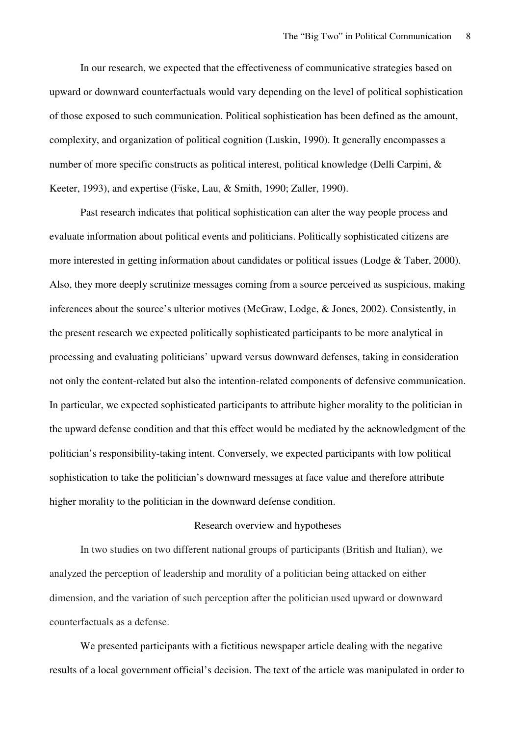In our research, we expected that the effectiveness of communicative strategies based on upward or downward counterfactuals would vary depending on the level of political sophistication of those exposed to such communication. Political sophistication has been defined as the amount, complexity, and organization of political cognition (Luskin, 1990). It generally encompasses a number of more specific constructs as political interest, political knowledge (Delli Carpini, & Keeter, 1993), and expertise (Fiske, Lau, & Smith, 1990; Zaller, 1990).

Past research indicates that political sophistication can alter the way people process and evaluate information about political events and politicians. Politically sophisticated citizens are more interested in getting information about candidates or political issues (Lodge & Taber, 2000). Also, they more deeply scrutinize messages coming from a source perceived as suspicious, making inferences about the source's ulterior motives (McGraw, Lodge, & Jones, 2002). Consistently, in the present research we expected politically sophisticated participants to be more analytical in processing and evaluating politicians' upward versus downward defenses, taking in consideration not only the content-related but also the intention-related components of defensive communication. In particular, we expected sophisticated participants to attribute higher morality to the politician in the upward defense condition and that this effect would be mediated by the acknowledgment of the politician's responsibility-taking intent. Conversely, we expected participants with low political sophistication to take the politician's downward messages at face value and therefore attribute higher morality to the politician in the downward defense condition.

#### Research overview and hypotheses

In two studies on two different national groups of participants (British and Italian), we analyzed the perception of leadership and morality of a politician being attacked on either dimension, and the variation of such perception after the politician used upward or downward counterfactuals as a defense.

We presented participants with a fictitious newspaper article dealing with the negative results of a local government official's decision. The text of the article was manipulated in order to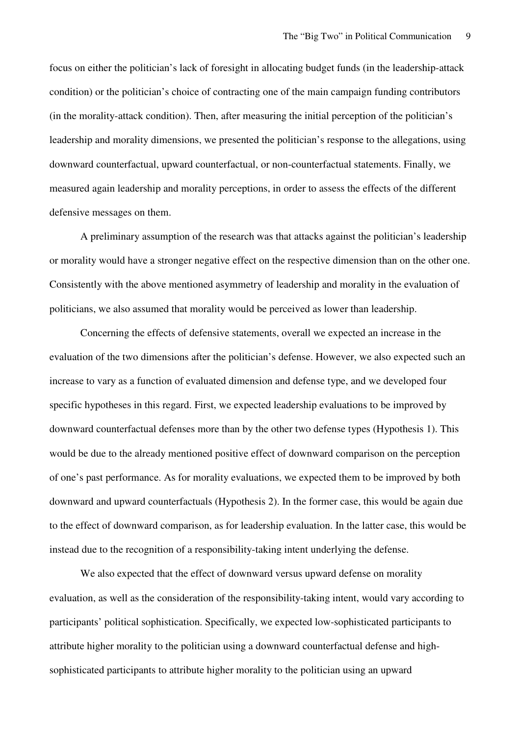focus on either the politician's lack of foresight in allocating budget funds (in the leadership-attack condition) or the politician's choice of contracting one of the main campaign funding contributors (in the morality-attack condition). Then, after measuring the initial perception of the politician's leadership and morality dimensions, we presented the politician's response to the allegations, using downward counterfactual, upward counterfactual, or non-counterfactual statements. Finally, we measured again leadership and morality perceptions, in order to assess the effects of the different defensive messages on them.

A preliminary assumption of the research was that attacks against the politician's leadership or morality would have a stronger negative effect on the respective dimension than on the other one. Consistently with the above mentioned asymmetry of leadership and morality in the evaluation of politicians, we also assumed that morality would be perceived as lower than leadership.

Concerning the effects of defensive statements, overall we expected an increase in the evaluation of the two dimensions after the politician's defense. However, we also expected such an increase to vary as a function of evaluated dimension and defense type, and we developed four specific hypotheses in this regard. First, we expected leadership evaluations to be improved by downward counterfactual defenses more than by the other two defense types (Hypothesis 1). This would be due to the already mentioned positive effect of downward comparison on the perception of one's past performance. As for morality evaluations, we expected them to be improved by both downward and upward counterfactuals (Hypothesis 2). In the former case, this would be again due to the effect of downward comparison, as for leadership evaluation. In the latter case, this would be instead due to the recognition of a responsibility-taking intent underlying the defense.

We also expected that the effect of downward versus upward defense on morality evaluation, as well as the consideration of the responsibility-taking intent, would vary according to participants' political sophistication. Specifically, we expected low-sophisticated participants to attribute higher morality to the politician using a downward counterfactual defense and highsophisticated participants to attribute higher morality to the politician using an upward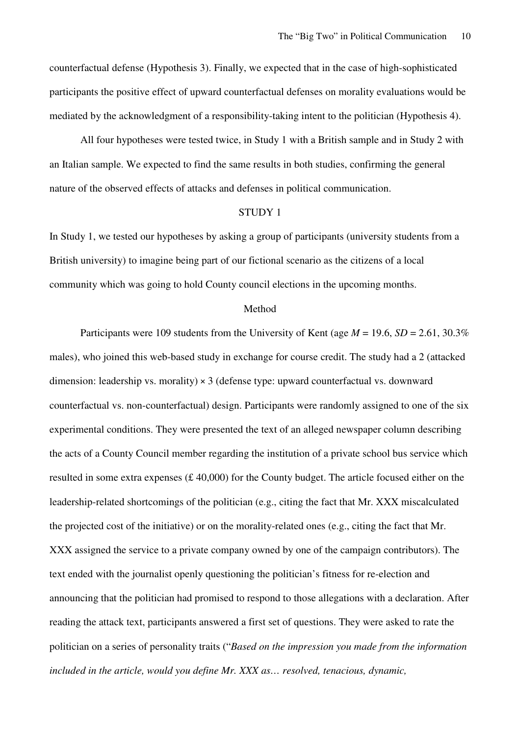counterfactual defense (Hypothesis 3). Finally, we expected that in the case of high-sophisticated participants the positive effect of upward counterfactual defenses on morality evaluations would be mediated by the acknowledgment of a responsibility-taking intent to the politician (Hypothesis 4).

All four hypotheses were tested twice, in Study 1 with a British sample and in Study 2 with an Italian sample. We expected to find the same results in both studies, confirming the general nature of the observed effects of attacks and defenses in political communication.

#### STUDY 1

In Study 1, we tested our hypotheses by asking a group of participants (university students from a British university) to imagine being part of our fictional scenario as the citizens of a local community which was going to hold County council elections in the upcoming months.

#### Method

Participants were 109 students from the University of Kent (age *M* = 19.6, *SD* = 2.61, 30.3% males), who joined this web-based study in exchange for course credit. The study had a 2 (attacked dimension: leadership vs. morality) × 3 (defense type: upward counterfactual vs. downward counterfactual vs. non-counterfactual) design. Participants were randomly assigned to one of the six experimental conditions. They were presented the text of an alleged newspaper column describing the acts of a County Council member regarding the institution of a private school bus service which resulted in some extra expenses (£ 40,000) for the County budget. The article focused either on the leadership-related shortcomings of the politician (e.g., citing the fact that Mr. XXX miscalculated the projected cost of the initiative) or on the morality-related ones (e.g., citing the fact that Mr. XXX assigned the service to a private company owned by one of the campaign contributors). The text ended with the journalist openly questioning the politician's fitness for re-election and announcing that the politician had promised to respond to those allegations with a declaration. After reading the attack text, participants answered a first set of questions. They were asked to rate the politician on a series of personality traits ("*Based on the impression you made from the information included in the article, would you define Mr. XXX as… resolved, tenacious, dynamic,*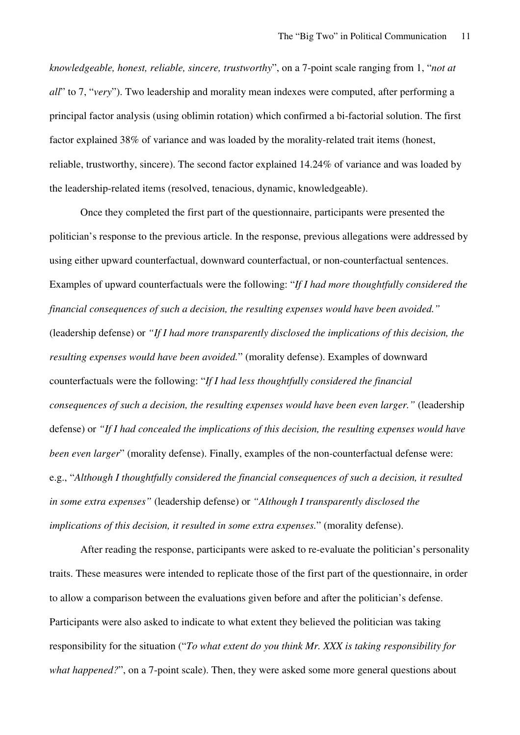*knowledgeable, honest, reliable, sincere, trustworthy*", on a 7-point scale ranging from 1, "*not at all*" to 7, "*very*"). Two leadership and morality mean indexes were computed, after performing a principal factor analysis (using oblimin rotation) which confirmed a bi-factorial solution. The first factor explained 38% of variance and was loaded by the morality-related trait items (honest, reliable, trustworthy, sincere). The second factor explained 14.24% of variance and was loaded by the leadership-related items (resolved, tenacious, dynamic, knowledgeable).

Once they completed the first part of the questionnaire, participants were presented the politician's response to the previous article. In the response, previous allegations were addressed by using either upward counterfactual, downward counterfactual, or non-counterfactual sentences. Examples of upward counterfactuals were the following: "*If I had more thoughtfully considered the financial consequences of such a decision, the resulting expenses would have been avoided."*  (leadership defense) or *"If I had more transparently disclosed the implications of this decision, the resulting expenses would have been avoided.*" (morality defense). Examples of downward counterfactuals were the following: "*If I had less thoughtfully considered the financial consequences of such a decision, the resulting expenses would have been even larger."* (leadership defense) or *"If I had concealed the implications of this decision, the resulting expenses would have been even larger*" (morality defense). Finally, examples of the non-counterfactual defense were: e.g., "*Although I thoughtfully considered the financial consequences of such a decision, it resulted in some extra expenses"* (leadership defense) or *"Although I transparently disclosed the implications of this decision, it resulted in some extra expenses.*" (morality defense).

After reading the response, participants were asked to re-evaluate the politician's personality traits. These measures were intended to replicate those of the first part of the questionnaire, in order to allow a comparison between the evaluations given before and after the politician's defense. Participants were also asked to indicate to what extent they believed the politician was taking responsibility for the situation ("*To what extent do you think Mr. XXX is taking responsibility for what happened?*", on a 7-point scale). Then, they were asked some more general questions about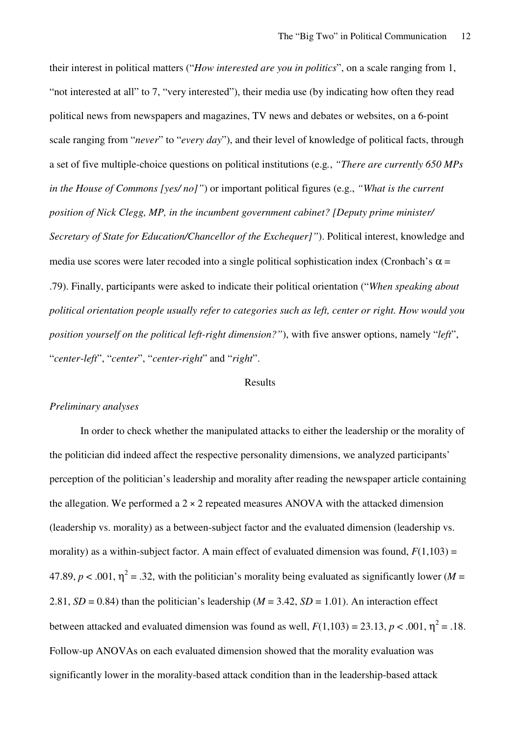their interest in political matters ("*How interested are you in politics*", on a scale ranging from 1, "not interested at all" to 7, "very interested"), their media use (by indicating how often they read political news from newspapers and magazines, TV news and debates or websites, on a 6-point scale ranging from "*never*" to "*every day*"), and their level of knowledge of political facts, through a set of five multiple-choice questions on political institutions (e.g*.*, *"There are currently 650 MPs in the House of Commons [yes/ no]"*) or important political figures (e.g., *"What is the current position of Nick Clegg, MP, in the incumbent government cabinet? [Deputy prime minister/ Secretary of State for Education/Chancellor of the Exchequer]"*). Political interest, knowledge and media use scores were later recoded into a single political sophistication index (Cronbach's  $\alpha$  = .79). Finally, participants were asked to indicate their political orientation ("*When speaking about political orientation people usually refer to categories such as left, center or right. How would you position yourself on the political left-right dimension?"*), with five answer options, namely "*left*", "*center-left*", "*center*", "*center-right*" and "*right*".

#### Results

#### *Preliminary analyses*

In order to check whether the manipulated attacks to either the leadership or the morality of the politician did indeed affect the respective personality dimensions, we analyzed participants' perception of the politician's leadership and morality after reading the newspaper article containing the allegation. We performed a  $2 \times 2$  repeated measures ANOVA with the attacked dimension (leadership vs. morality) as a between-subject factor and the evaluated dimension (leadership vs. morality) as a within-subject factor. A main effect of evaluated dimension was found,  $F(1,103) =$ 47.89,  $p < .001$ ,  $\eta^2 = .32$ , with the politician's morality being evaluated as significantly lower (*M* = 2.81,  $SD = 0.84$ ) than the politician's leadership ( $M = 3.42$ ,  $SD = 1.01$ ). An interaction effect between attacked and evaluated dimension was found as well,  $F(1,103) = 23.13$ ,  $p < .001$ ,  $\eta^2 = .18$ . Follow-up ANOVAs on each evaluated dimension showed that the morality evaluation was significantly lower in the morality-based attack condition than in the leadership-based attack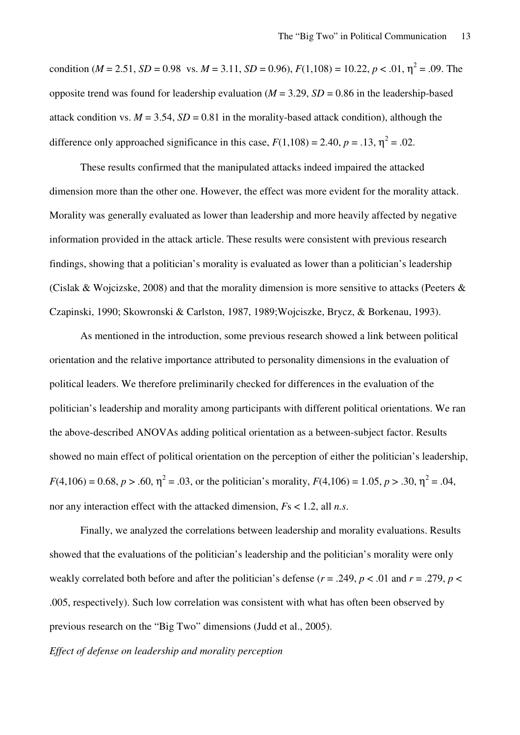condition (*M* = 2.51, *SD* = 0.98 vs. *M* = 3.11, *SD* = 0.96),  $F(1,108) = 10.22$ ,  $p < .01$ ,  $\eta^2 = .09$ . The opposite trend was found for leadership evaluation ( $M = 3.29$ ,  $SD = 0.86$  in the leadership-based attack condition vs.  $M = 3.54$ ,  $SD = 0.81$  in the morality-based attack condition), although the difference only approached significance in this case,  $F(1,108) = 2.40$ ,  $p = .13$ ,  $\eta^2 = .02$ .

These results confirmed that the manipulated attacks indeed impaired the attacked dimension more than the other one. However, the effect was more evident for the morality attack. Morality was generally evaluated as lower than leadership and more heavily affected by negative information provided in the attack article. These results were consistent with previous research findings, showing that a politician's morality is evaluated as lower than a politician's leadership (Cislak & Wojcizske, 2008) and that the morality dimension is more sensitive to attacks (Peeters & Czapinski, 1990; Skowronski & Carlston, 1987, 1989;Wojciszke, Brycz, & Borkenau, 1993).

As mentioned in the introduction, some previous research showed a link between political orientation and the relative importance attributed to personality dimensions in the evaluation of political leaders. We therefore preliminarily checked for differences in the evaluation of the politician's leadership and morality among participants with different political orientations. We ran the above-described ANOVAs adding political orientation as a between-subject factor. Results showed no main effect of political orientation on the perception of either the politician's leadership,  $F(4,106) = 0.68, p > .60, \eta^2 = .03$ , or the politician's morality,  $F(4,106) = 1.05, p > .30, \eta^2 = .04$ , nor any interaction effect with the attacked dimension, *F*s < 1.2, all *n.s*.

Finally, we analyzed the correlations between leadership and morality evaluations. Results showed that the evaluations of the politician's leadership and the politician's morality were only weakly correlated both before and after the politician's defense ( $r = .249$ ,  $p < .01$  and  $r = .279$ ,  $p <$ .005, respectively). Such low correlation was consistent with what has often been observed by previous research on the "Big Two" dimensions (Judd et al., 2005).

*Effect of defense on leadership and morality perception*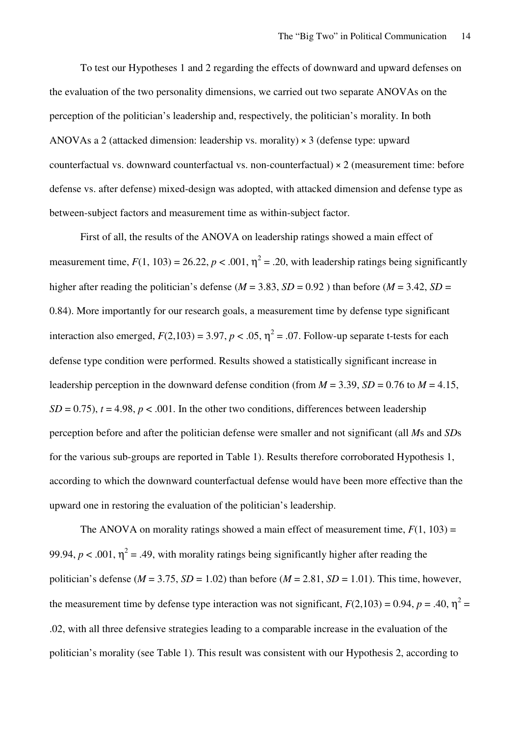To test our Hypotheses 1 and 2 regarding the effects of downward and upward defenses on the evaluation of the two personality dimensions, we carried out two separate ANOVAs on the perception of the politician's leadership and, respectively, the politician's morality. In both ANOVAs a 2 (attacked dimension: leadership vs. morality) × 3 (defense type: upward counterfactual vs. downward counterfactual vs. non-counterfactual)  $\times$  2 (measurement time: before defense vs. after defense) mixed-design was adopted, with attacked dimension and defense type as between-subject factors and measurement time as within-subject factor.

First of all, the results of the ANOVA on leadership ratings showed a main effect of measurement time,  $F(1, 103) = 26.22$ ,  $p < .001$ ,  $\eta^2 = .20$ , with leadership ratings being significantly higher after reading the politician's defense ( $M = 3.83$ ,  $SD = 0.92$ ) than before ( $M = 3.42$ ,  $SD =$ 0.84). More importantly for our research goals, a measurement time by defense type significant interaction also emerged,  $F(2,103) = 3.97$ ,  $p < .05$ ,  $\eta^2 = .07$ . Follow-up separate t-tests for each defense type condition were performed. Results showed a statistically significant increase in leadership perception in the downward defense condition (from  $M = 3.39$ ,  $SD = 0.76$  to  $M = 4.15$ ,  $SD = 0.75$ ,  $t = 4.98$ ,  $p < .001$ . In the other two conditions, differences between leadership perception before and after the politician defense were smaller and not significant (all *M*s and *SD*s for the various sub-groups are reported in Table 1). Results therefore corroborated Hypothesis 1, according to which the downward counterfactual defense would have been more effective than the upward one in restoring the evaluation of the politician's leadership.

The ANOVA on morality ratings showed a main effect of measurement time,  $F(1, 103) =$ 99.94,  $p < .001$ ,  $\eta^2 = .49$ , with morality ratings being significantly higher after reading the politician's defense ( $M = 3.75$ ,  $SD = 1.02$ ) than before ( $M = 2.81$ ,  $SD = 1.01$ ). This time, however, the measurement time by defense type interaction was not significant,  $F(2,103) = 0.94$ ,  $p = .40$ ,  $\eta^2 =$ .02, with all three defensive strategies leading to a comparable increase in the evaluation of the politician's morality (see Table 1). This result was consistent with our Hypothesis 2, according to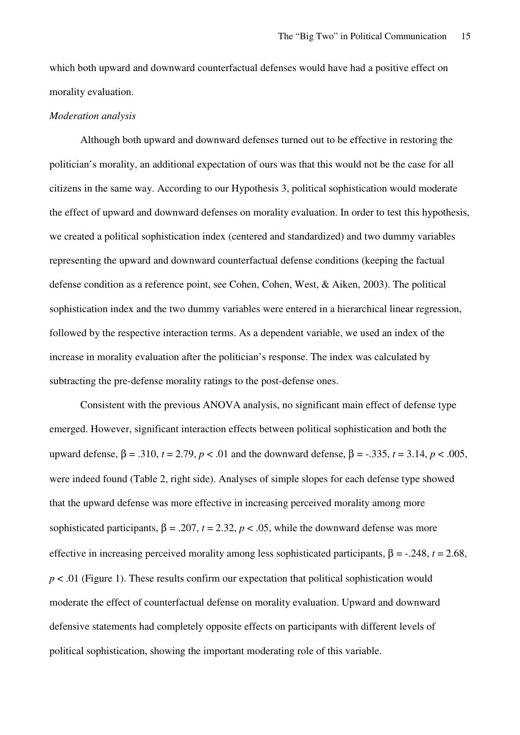which both upward and downward counterfactual defenses would have had a positive effect on morality evaluation.

#### *Moderation analysis*

Although both upward and downward defenses turned out to be effective in restoring the politician's morality, an additional expectation of ours was that this would not be the case for all citizens in the same way. According to our Hypothesis 3, political sophistication would moderate the effect of upward and downward defenses on morality evaluation. In order to test this hypothesis, we created a political sophistication index (centered and standardized) and two dummy variables representing the upward and downward counterfactual defense conditions (keeping the factual defense condition as a reference point, see Cohen, Cohen, West, & Aiken, 2003). The political sophistication index and the two dummy variables were entered in a hierarchical linear regression, followed by the respective interaction terms. As a dependent variable, we used an index of the increase in morality evaluation after the politician's response. The index was calculated by subtracting the pre-defense morality ratings to the post-defense ones.

Consistent with the previous ANOVA analysis, no significant main effect of defense type emerged. However, significant interaction effects between political sophistication and both the upward defense,  $β = .310$ ,  $t = 2.79$ ,  $p < .01$  and the downward defense,  $β = -.335$ ,  $t = 3.14$ ,  $p < .005$ , were indeed found (Table 2, right side). Analyses of simple slopes for each defense type showed that the upward defense was more effective in increasing perceived morality among more sophisticated participants,  $\beta = .207$ ,  $t = 2.32$ ,  $p < .05$ , while the downward defense was more effective in increasing perceived morality among less sophisticated participants,  $\beta = -0.248$ ,  $t = 2.68$ , *p* < .01 (Figure 1). These results confirm our expectation that political sophistication would moderate the effect of counterfactual defense on morality evaluation. Upward and downward defensive statements had completely opposite effects on participants with different levels of political sophistication, showing the important moderating role of this variable.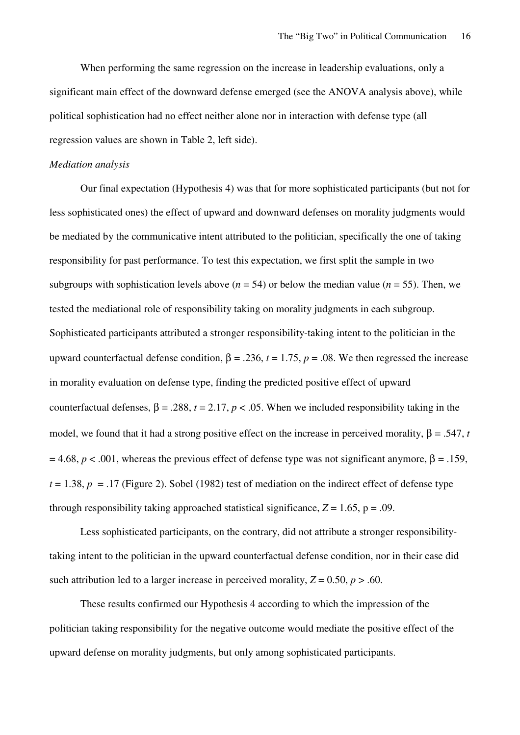When performing the same regression on the increase in leadership evaluations, only a significant main effect of the downward defense emerged (see the ANOVA analysis above), while political sophistication had no effect neither alone nor in interaction with defense type (all regression values are shown in Table 2, left side).

#### *Mediation analysis*

Our final expectation (Hypothesis 4) was that for more sophisticated participants (but not for less sophisticated ones) the effect of upward and downward defenses on morality judgments would be mediated by the communicative intent attributed to the politician, specifically the one of taking responsibility for past performance. To test this expectation, we first split the sample in two subgroups with sophistication levels above ( $n = 54$ ) or below the median value ( $n = 55$ ). Then, we tested the mediational role of responsibility taking on morality judgments in each subgroup. Sophisticated participants attributed a stronger responsibility-taking intent to the politician in the upward counterfactual defense condition,  $\beta = .236$ ,  $t = 1.75$ ,  $p = .08$ . We then regressed the increase in morality evaluation on defense type, finding the predicted positive effect of upward counterfactual defenses,  $\beta = .288$ ,  $t = 2.17$ ,  $p < .05$ . When we included responsibility taking in the model, we found that it had a strong positive effect on the increase in perceived morality,  $β = .547, t$  $= 4.68$ ,  $p < .001$ , whereas the previous effect of defense type was not significant anymore,  $\beta = .159$ ,  $t = 1.38$ ,  $p = .17$  (Figure 2). Sobel (1982) test of mediation on the indirect effect of defense type through responsibility taking approached statistical significance,  $Z = 1.65$ ,  $p = .09$ .

Less sophisticated participants, on the contrary, did not attribute a stronger responsibilitytaking intent to the politician in the upward counterfactual defense condition, nor in their case did such attribution led to a larger increase in perceived morality,  $Z = 0.50$ ,  $p > .60$ .

These results confirmed our Hypothesis 4 according to which the impression of the politician taking responsibility for the negative outcome would mediate the positive effect of the upward defense on morality judgments, but only among sophisticated participants.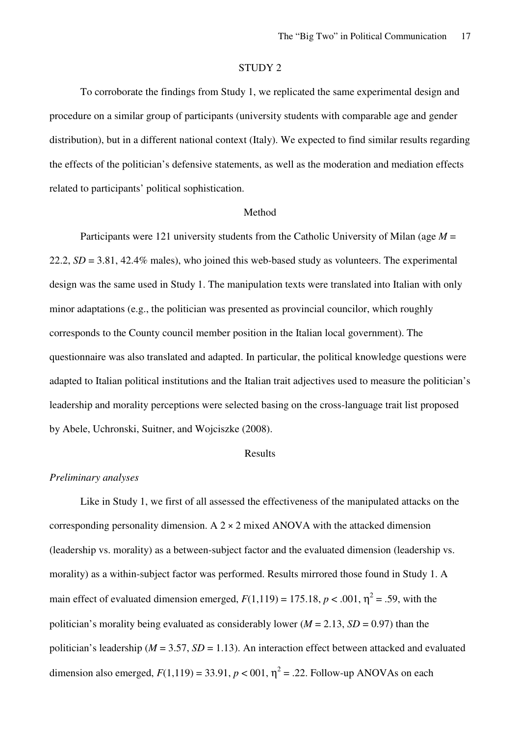#### STUDY 2

To corroborate the findings from Study 1, we replicated the same experimental design and procedure on a similar group of participants (university students with comparable age and gender distribution), but in a different national context (Italy). We expected to find similar results regarding the effects of the politician's defensive statements, as well as the moderation and mediation effects related to participants' political sophistication.

#### Method

Participants were 121 university students from the Catholic University of Milan (age *M* = 22.2, *SD* = 3.81, 42.4% males), who joined this web-based study as volunteers. The experimental design was the same used in Study 1. The manipulation texts were translated into Italian with only minor adaptations (e.g., the politician was presented as provincial councilor, which roughly corresponds to the County council member position in the Italian local government). The questionnaire was also translated and adapted. In particular, the political knowledge questions were adapted to Italian political institutions and the Italian trait adjectives used to measure the politician's leadership and morality perceptions were selected basing on the cross-language trait list proposed by Abele, Uchronski, Suitner, and Wojciszke (2008).

#### Results

#### *Preliminary analyses*

Like in Study 1, we first of all assessed the effectiveness of the manipulated attacks on the corresponding personality dimension. A  $2 \times 2$  mixed ANOVA with the attacked dimension (leadership vs. morality) as a between-subject factor and the evaluated dimension (leadership vs. morality) as a within-subject factor was performed. Results mirrored those found in Study 1. A main effect of evaluated dimension emerged,  $F(1,119) = 175.18$ ,  $p < .001$ ,  $\eta^2 = .59$ , with the politician's morality being evaluated as considerably lower ( $M = 2.13$ ,  $SD = 0.97$ ) than the politician's leadership ( $M = 3.57$ ,  $SD = 1.13$ ). An interaction effect between attacked and evaluated dimension also emerged,  $F(1,119) = 33.91$ ,  $p < 001$ ,  $\eta^2 = .22$ . Follow-up ANOVAs on each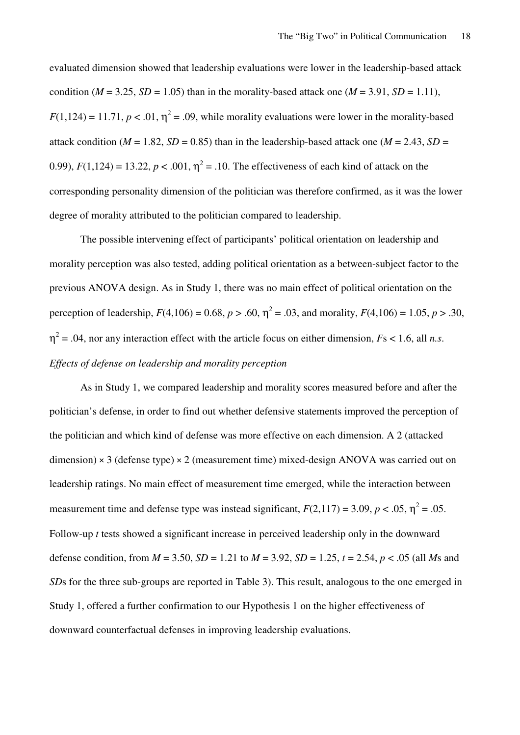evaluated dimension showed that leadership evaluations were lower in the leadership-based attack condition ( $M = 3.25$ ,  $SD = 1.05$ ) than in the morality-based attack one ( $M = 3.91$ ,  $SD = 1.11$ ),  $F(1,124) = 11.71, p < .01, \eta^2 = .09$ , while morality evaluations were lower in the morality-based attack condition ( $M = 1.82$ ,  $SD = 0.85$ ) than in the leadership-based attack one ( $M = 2.43$ ,  $SD =$ 0.99),  $F(1,124) = 13.22$ ,  $p < .001$ ,  $\eta^2 = .10$ . The effectiveness of each kind of attack on the corresponding personality dimension of the politician was therefore confirmed, as it was the lower degree of morality attributed to the politician compared to leadership.

The possible intervening effect of participants' political orientation on leadership and morality perception was also tested, adding political orientation as a between-subject factor to the previous ANOVA design. As in Study 1, there was no main effect of political orientation on the perception of leadership,  $F(4,106) = 0.68$ ,  $p > .60$ ,  $\eta^2 = .03$ , and morality,  $F(4,106) = 1.05$ ,  $p > .30$ ,  $\eta^2$  = .04, nor any interaction effect with the article focus on either dimension, *Fs* < 1.6, all *n.s. Effects of defense on leadership and morality perception* 

As in Study 1, we compared leadership and morality scores measured before and after the politician's defense, in order to find out whether defensive statements improved the perception of the politician and which kind of defense was more effective on each dimension. A 2 (attacked dimension)  $\times$  3 (defense type)  $\times$  2 (measurement time) mixed-design ANOVA was carried out on leadership ratings. No main effect of measurement time emerged, while the interaction between measurement time and defense type was instead significant,  $F(2,117) = 3.09$ ,  $p < .05$ ,  $\eta^2 = .05$ . Follow-up *t* tests showed a significant increase in perceived leadership only in the downward defense condition, from  $M = 3.50$ ,  $SD = 1.21$  to  $M = 3.92$ ,  $SD = 1.25$ ,  $t = 2.54$ ,  $p < .05$  (all Ms and *SDs* for the three sub-groups are reported in Table 3). This result, analogous to the one emerged in Study 1, offered a further confirmation to our Hypothesis 1 on the higher effectiveness of downward counterfactual defenses in improving leadership evaluations.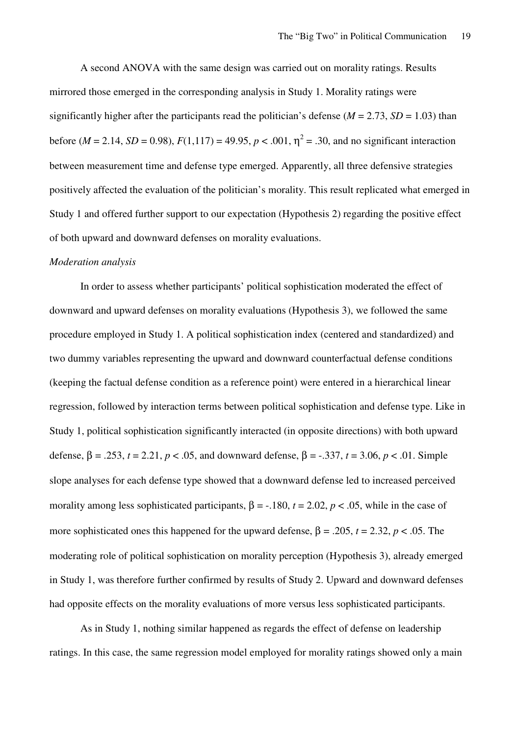A second ANOVA with the same design was carried out on morality ratings. Results mirrored those emerged in the corresponding analysis in Study 1. Morality ratings were significantly higher after the participants read the politician's defense ( $M = 2.73$ ,  $SD = 1.03$ ) than before ( $M = 2.14$ ,  $SD = 0.98$ ),  $F(1,117) = 49.95$ ,  $p < .001$ ,  $\eta^2 = .30$ , and no significant interaction between measurement time and defense type emerged. Apparently, all three defensive strategies positively affected the evaluation of the politician's morality. This result replicated what emerged in Study 1 and offered further support to our expectation (Hypothesis 2) regarding the positive effect of both upward and downward defenses on morality evaluations.

#### *Moderation analysis*

In order to assess whether participants' political sophistication moderated the effect of downward and upward defenses on morality evaluations (Hypothesis 3), we followed the same procedure employed in Study 1. A political sophistication index (centered and standardized) and two dummy variables representing the upward and downward counterfactual defense conditions (keeping the factual defense condition as a reference point) were entered in a hierarchical linear regression, followed by interaction terms between political sophistication and defense type. Like in Study 1, political sophistication significantly interacted (in opposite directions) with both upward defense, β = .253, *t* = 2.21, *p* < .05, and downward defense, β = -.337, *t* = 3.06, *p* < .01. Simple slope analyses for each defense type showed that a downward defense led to increased perceived morality among less sophisticated participants,  $\beta$  = -.180,  $t$  = 2.02,  $p$  < .05, while in the case of more sophisticated ones this happened for the upward defense,  $\beta = .205$ ,  $t = 2.32$ ,  $p < .05$ . The moderating role of political sophistication on morality perception (Hypothesis 3), already emerged in Study 1, was therefore further confirmed by results of Study 2. Upward and downward defenses had opposite effects on the morality evaluations of more versus less sophisticated participants.

As in Study 1, nothing similar happened as regards the effect of defense on leadership ratings. In this case, the same regression model employed for morality ratings showed only a main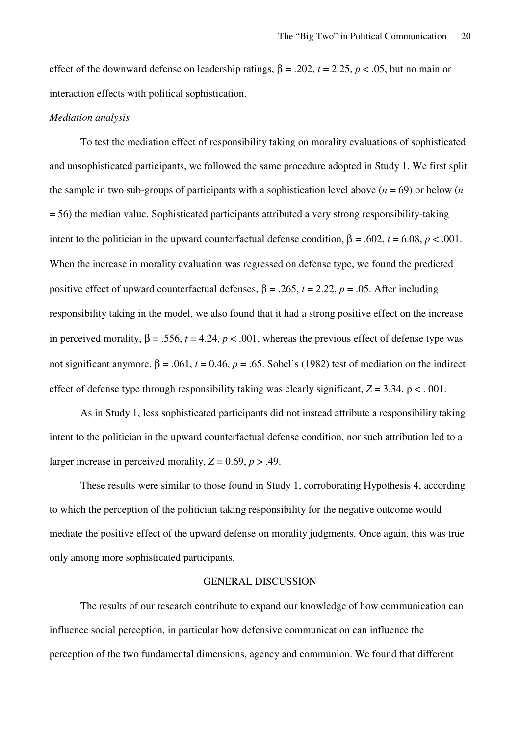effect of the downward defense on leadership ratings, β = .202, *t* = 2.25, *p* < .05, but no main or interaction effects with political sophistication.

#### *Mediation analysis*

To test the mediation effect of responsibility taking on morality evaluations of sophisticated and unsophisticated participants, we followed the same procedure adopted in Study 1. We first split the sample in two sub-groups of participants with a sophistication level above  $(n = 69)$  or below  $(n \cdot n)$ = 56) the median value. Sophisticated participants attributed a very strong responsibility-taking intent to the politician in the upward counterfactual defense condition,  $β = .602$ ,  $t = 6.08$ ,  $p < .001$ . When the increase in morality evaluation was regressed on defense type, we found the predicted positive effect of upward counterfactual defenses,  $\beta = .265$ ,  $t = 2.22$ ,  $p = .05$ . After including responsibility taking in the model, we also found that it had a strong positive effect on the increase in perceived morality,  $β = .556$ ,  $t = 4.24$ ,  $p < .001$ , whereas the previous effect of defense type was not significant anymore,  $β = .061$ ,  $t = 0.46$ ,  $p = .65$ . Sobel's (1982) test of mediation on the indirect effect of defense type through responsibility taking was clearly significant,  $Z = 3.34$ ,  $p < 0.001$ .

As in Study 1, less sophisticated participants did not instead attribute a responsibility taking intent to the politician in the upward counterfactual defense condition, nor such attribution led to a larger increase in perceived morality,  $Z = 0.69$ ,  $p > .49$ .

These results were similar to those found in Study 1, corroborating Hypothesis 4, according to which the perception of the politician taking responsibility for the negative outcome would mediate the positive effect of the upward defense on morality judgments. Once again, this was true only among more sophisticated participants.

#### GENERAL DISCUSSION

The results of our research contribute to expand our knowledge of how communication can influence social perception, in particular how defensive communication can influence the perception of the two fundamental dimensions, agency and communion. We found that different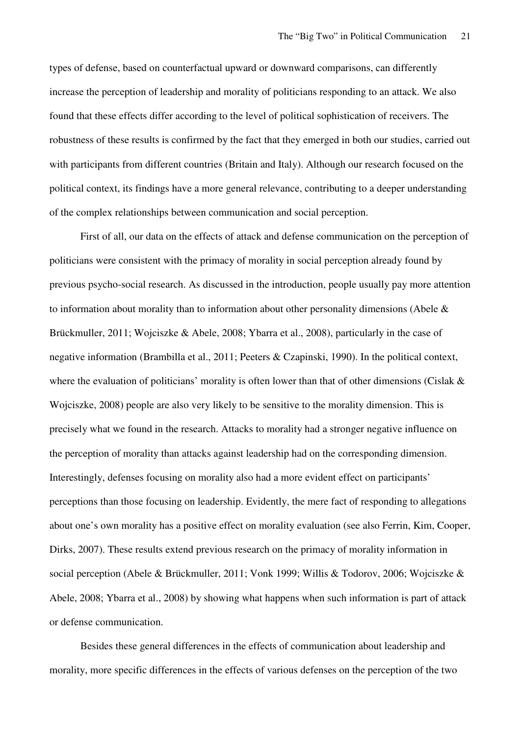types of defense, based on counterfactual upward or downward comparisons, can differently increase the perception of leadership and morality of politicians responding to an attack. We also found that these effects differ according to the level of political sophistication of receivers. The robustness of these results is confirmed by the fact that they emerged in both our studies, carried out with participants from different countries (Britain and Italy). Although our research focused on the political context, its findings have a more general relevance, contributing to a deeper understanding of the complex relationships between communication and social perception.

First of all, our data on the effects of attack and defense communication on the perception of politicians were consistent with the primacy of morality in social perception already found by previous psycho-social research. As discussed in the introduction, people usually pay more attention to information about morality than to information about other personality dimensions (Abele  $\&$ Brückmuller, 2011; Wojciszke & Abele, 2008; Ybarra et al., 2008), particularly in the case of negative information (Brambilla et al., 2011; Peeters & Czapinski, 1990). In the political context, where the evaluation of politicians' morality is often lower than that of other dimensions (Cislak  $\&$ Wojciszke, 2008) people are also very likely to be sensitive to the morality dimension. This is precisely what we found in the research. Attacks to morality had a stronger negative influence on the perception of morality than attacks against leadership had on the corresponding dimension. Interestingly, defenses focusing on morality also had a more evident effect on participants' perceptions than those focusing on leadership. Evidently, the mere fact of responding to allegations about one's own morality has a positive effect on morality evaluation (see also Ferrin, Kim, Cooper, Dirks, 2007). These results extend previous research on the primacy of morality information in social perception (Abele & Brückmuller, 2011; Vonk 1999; Willis & Todorov, 2006; Wojciszke & Abele, 2008; Ybarra et al., 2008) by showing what happens when such information is part of attack or defense communication.

Besides these general differences in the effects of communication about leadership and morality, more specific differences in the effects of various defenses on the perception of the two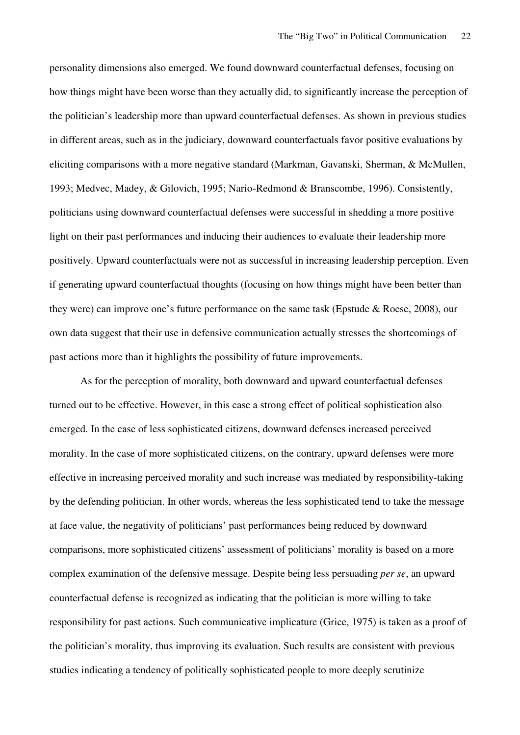personality dimensions also emerged. We found downward counterfactual defenses, focusing on how things might have been worse than they actually did, to significantly increase the perception of the politician's leadership more than upward counterfactual defenses. As shown in previous studies in different areas, such as in the judiciary, downward counterfactuals favor positive evaluations by eliciting comparisons with a more negative standard (Markman, Gavanski, Sherman, & McMullen, 1993; Medvec, Madey, & Gilovich, 1995; Nario-Redmond & Branscombe, 1996). Consistently, politicians using downward counterfactual defenses were successful in shedding a more positive light on their past performances and inducing their audiences to evaluate their leadership more positively. Upward counterfactuals were not as successful in increasing leadership perception. Even if generating upward counterfactual thoughts (focusing on how things might have been better than they were) can improve one's future performance on the same task (Epstude & Roese, 2008), our own data suggest that their use in defensive communication actually stresses the shortcomings of past actions more than it highlights the possibility of future improvements.

As for the perception of morality, both downward and upward counterfactual defenses turned out to be effective. However, in this case a strong effect of political sophistication also emerged. In the case of less sophisticated citizens, downward defenses increased perceived morality. In the case of more sophisticated citizens, on the contrary, upward defenses were more effective in increasing perceived morality and such increase was mediated by responsibility-taking by the defending politician. In other words, whereas the less sophisticated tend to take the message at face value, the negativity of politicians' past performances being reduced by downward comparisons, more sophisticated citizens' assessment of politicians' morality is based on a more complex examination of the defensive message. Despite being less persuading *per se*, an upward counterfactual defense is recognized as indicating that the politician is more willing to take responsibility for past actions. Such communicative implicature (Grice, 1975) is taken as a proof of the politician's morality, thus improving its evaluation. Such results are consistent with previous studies indicating a tendency of politically sophisticated people to more deeply scrutinize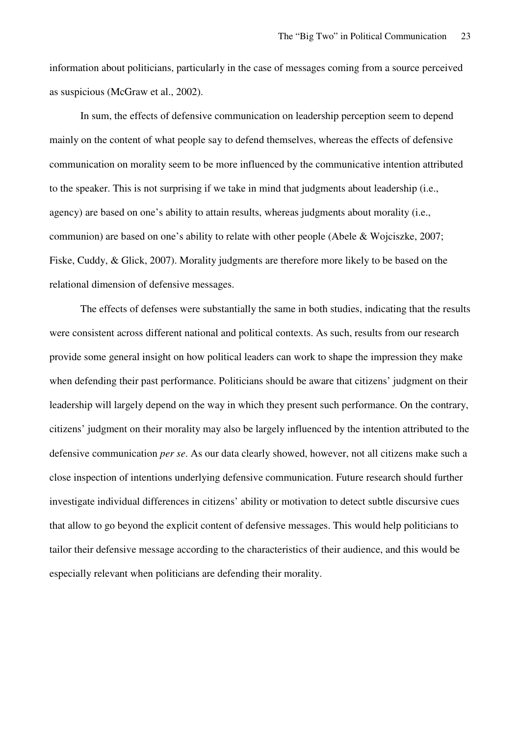information about politicians, particularly in the case of messages coming from a source perceived as suspicious (McGraw et al., 2002).

In sum, the effects of defensive communication on leadership perception seem to depend mainly on the content of what people say to defend themselves, whereas the effects of defensive communication on morality seem to be more influenced by the communicative intention attributed to the speaker. This is not surprising if we take in mind that judgments about leadership (i.e., agency) are based on one's ability to attain results, whereas judgments about morality (i.e., communion) are based on one's ability to relate with other people (Abele & Wojciszke, 2007; Fiske, Cuddy, & Glick, 2007). Morality judgments are therefore more likely to be based on the relational dimension of defensive messages.

The effects of defenses were substantially the same in both studies, indicating that the results were consistent across different national and political contexts. As such, results from our research provide some general insight on how political leaders can work to shape the impression they make when defending their past performance. Politicians should be aware that citizens' judgment on their leadership will largely depend on the way in which they present such performance. On the contrary, citizens' judgment on their morality may also be largely influenced by the intention attributed to the defensive communication *per se*. As our data clearly showed, however, not all citizens make such a close inspection of intentions underlying defensive communication. Future research should further investigate individual differences in citizens' ability or motivation to detect subtle discursive cues that allow to go beyond the explicit content of defensive messages. This would help politicians to tailor their defensive message according to the characteristics of their audience, and this would be especially relevant when politicians are defending their morality.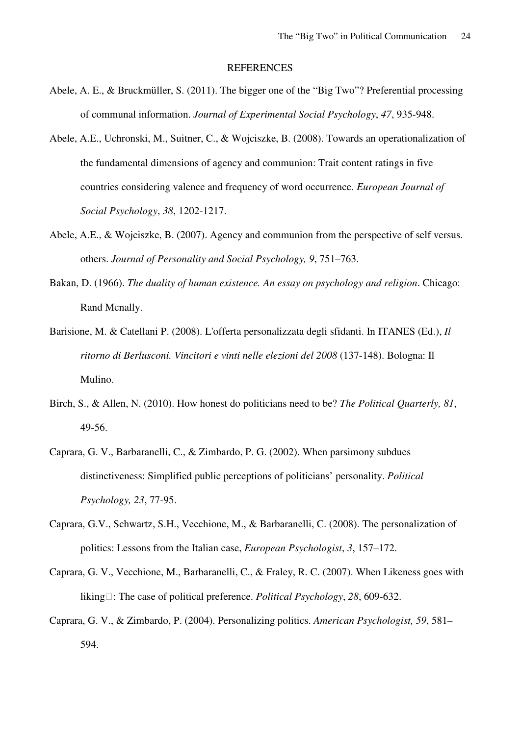#### **REFERENCES**

- Abele, A. E., & Bruckmüller, S. (2011). The bigger one of the "Big Two"? Preferential processing of communal information. *Journal of Experimental Social Psychology*, *47*, 935-948.
- Abele, A.E., Uchronski, M., Suitner, C., & Wojciszke, B. (2008). Towards an operationalization of the fundamental dimensions of agency and communion: Trait content ratings in five countries considering valence and frequency of word occurrence. *European Journal of Social Psychology*, *38*, 1202-1217.
- Abele, A.E., & Wojciszke, B. (2007). Agency and communion from the perspective of self versus. others. *Journal of Personality and Social Psychology, 9*, 751–763.
- Bakan, D. (1966). *The duality of human existence. An essay on psychology and religion*. Chicago: Rand Mcnally.
- Barisione, M. & Catellani P. (2008). L'offerta personalizzata degli sfidanti. In ITANES (Ed.), *Il ritorno di Berlusconi. Vincitori e vinti nelle elezioni del 2008* (137-148). Bologna: Il Mulino.
- Birch, S., & Allen, N. (2010). How honest do politicians need to be? *The Political Quarterly, 81*, 49-56.
- Caprara, G. V., Barbaranelli, C., & Zimbardo, P. G. (2002). When parsimony subdues distinctiveness: Simplified public perceptions of politicians' personality. *Political Psychology, 23*, 77-95.
- Caprara, G.V., Schwartz, S.H., Vecchione, M., & Barbaranelli, C. (2008). The personalization of politics: Lessons from the Italian case, *European Psychologist*, *3*, 157–172.
- Caprara, G. V., Vecchione, M., Barbaranelli, C., & Fraley, R. C. (2007). When Likeness goes with liking: The case of political preference. *Political Psychology*, 28, 609-632.
- Caprara, G. V., & Zimbardo, P. (2004). Personalizing politics. *American Psychologist, 59*, 581– 594.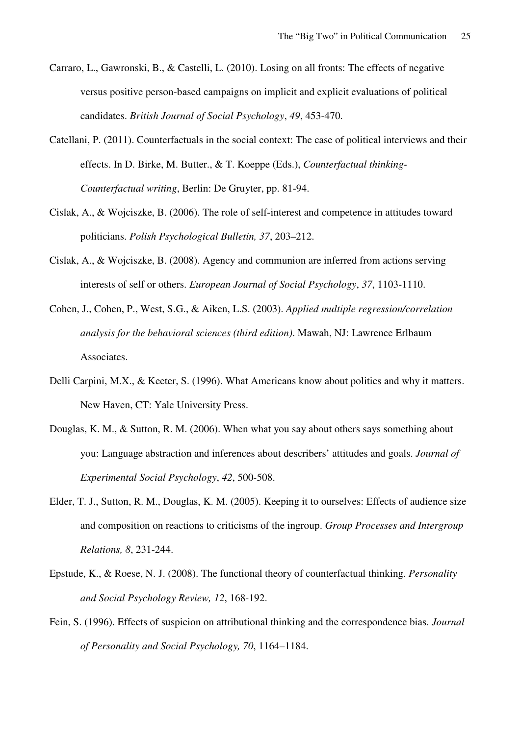- Carraro, L., Gawronski, B., & Castelli, L. (2010). Losing on all fronts: The effects of negative versus positive person-based campaigns on implicit and explicit evaluations of political candidates. *British Journal of Social Psychology*, *49*, 453-470.
- Catellani, P. (2011). Counterfactuals in the social context: The case of political interviews and their effects. In D. Birke, M. Butter., & T. Koeppe (Eds.), *Counterfactual thinking-Counterfactual writing*, Berlin: De Gruyter, pp. 81-94.
- Cislak, A., & Wojciszke, B. (2006). The role of self-interest and competence in attitudes toward politicians. *Polish Psychological Bulletin, 37*, 203–212.
- Cislak, A., & Wojciszke, B. (2008). Agency and communion are inferred from actions serving interests of self or others. *European Journal of Social Psychology*, *37*, 1103-1110.
- Cohen, J., Cohen, P., West, S.G., & Aiken, L.S. (2003). *Applied multiple regression/correlation analysis for the behavioral sciences (third edition)*. Mawah, NJ: Lawrence Erlbaum Associates.
- Delli Carpini, M.X., & Keeter, S. (1996). What Americans know about politics and why it matters. New Haven, CT: Yale University Press.
- Douglas, K. M., & Sutton, R. M. (2006). When what you say about others says something about you: Language abstraction and inferences about describers' attitudes and goals. *Journal of Experimental Social Psychology*, *42*, 500-508.
- Elder, T. J., Sutton, R. M., Douglas, K. M. (2005). Keeping it to ourselves: Effects of audience size and composition on reactions to criticisms of the ingroup. *Group Processes and Intergroup Relations, 8*, 231-244.
- Epstude, K., & Roese, N. J. (2008). The functional theory of counterfactual thinking. *Personality and Social Psychology Review, 12*, 168-192.
- Fein, S. (1996). Effects of suspicion on attributional thinking and the correspondence bias. *Journal of Personality and Social Psychology, 70*, 1164–1184.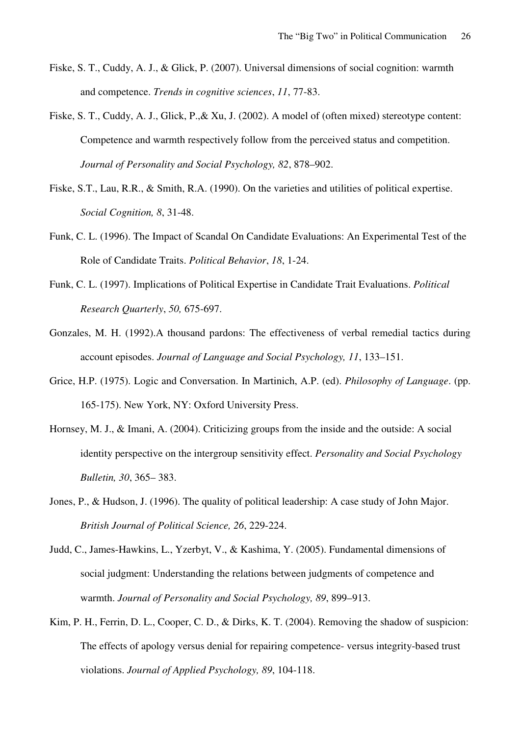- Fiske, S. T., Cuddy, A. J., & Glick, P. (2007). Universal dimensions of social cognition: warmth and competence. *Trends in cognitive sciences*, *11*, 77-83.
- Fiske, S. T., Cuddy, A. J., Glick, P.,& Xu, J. (2002). A model of (often mixed) stereotype content: Competence and warmth respectively follow from the perceived status and competition. *Journal of Personality and Social Psychology, 82*, 878–902.
- Fiske, S.T., Lau, R.R., & Smith, R.A. (1990). On the varieties and utilities of political expertise. *Social Cognition, 8*, 31-48.
- Funk, C. L. (1996). The Impact of Scandal On Candidate Evaluations: An Experimental Test of the Role of Candidate Traits. *Political Behavior*, *18*, 1-24.
- Funk, C. L. (1997). Implications of Political Expertise in Candidate Trait Evaluations. *Political Research Quarterly*, *50,* 675-697.
- Gonzales, M. H. (1992).A thousand pardons: The effectiveness of verbal remedial tactics during account episodes. *Journal of Language and Social Psychology, 11*, 133–151.
- Grice, H.P. (1975). Logic and Conversation. In Martinich, A.P. (ed). *Philosophy of Language*. (pp. 165-175). New York, NY: Oxford University Press.
- Hornsey, M. J., & Imani, A. (2004). Criticizing groups from the inside and the outside: A social identity perspective on the intergroup sensitivity effect. *Personality and Social Psychology Bulletin, 30*, 365– 383.
- Jones, P., & Hudson, J. (1996). The quality of political leadership: A case study of John Major. *British Journal of Political Science, 26*, 229-224.
- Judd, C., James-Hawkins, L., Yzerbyt, V., & Kashima, Y. (2005). Fundamental dimensions of social judgment: Understanding the relations between judgments of competence and warmth. *Journal of Personality and Social Psychology, 89*, 899–913.
- Kim, P. H., Ferrin, D. L., Cooper, C. D., & Dirks, K. T. (2004). Removing the shadow of suspicion: The effects of apology versus denial for repairing competence- versus integrity-based trust violations. *Journal of Applied Psychology, 89*, 104-118.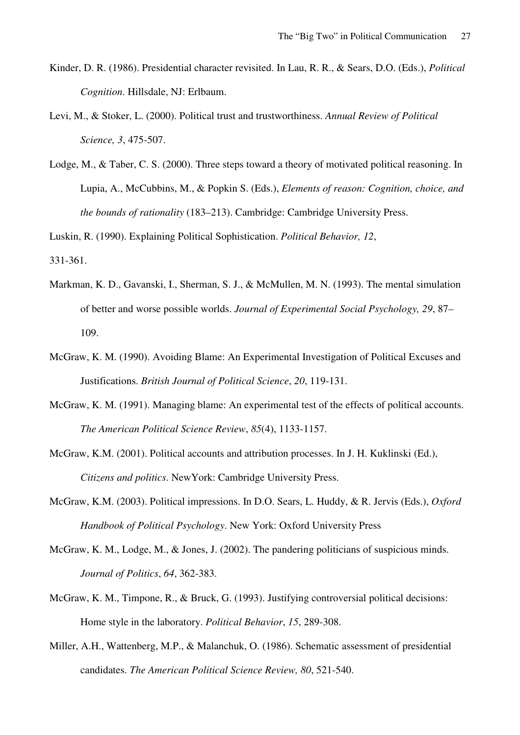- Kinder, D. R. (1986). Presidential character revisited. In Lau, R. R., & Sears, D.O. (Eds.), *Political Cognition*. Hillsdale, NJ: Erlbaum.
- Levi, M., & Stoker, L. (2000). Political trust and trustworthiness. *Annual Review of Political Science, 3*, 475-507.
- Lodge, M., & Taber, C. S. (2000). Three steps toward a theory of motivated political reasoning. In Lupia, A., McCubbins, M., & Popkin S. (Eds.), *Elements of reason: Cognition, choice, and the bounds of rationality* (183–213). Cambridge: Cambridge University Press.

Luskin, R. (1990). Explaining Political Sophistication. *Political Behavior, 12*,

331-361.

- Markman, K. D., Gavanski, I., Sherman, S. J., & McMullen, M. N. (1993). The mental simulation of better and worse possible worlds. *Journal of Experimental Social Psychology, 29*, 87– 109.
- McGraw, K. M. (1990). Avoiding Blame: An Experimental Investigation of Political Excuses and Justifications. *British Journal of Political Science*, *20*, 119-131.
- McGraw, K. M. (1991). Managing blame: An experimental test of the effects of political accounts. *The American Political Science Review*, *85*(4), 1133-1157.
- McGraw, K.M. (2001). Political accounts and attribution processes. In J. H. Kuklinski (Ed.), *Citizens and politics*. NewYork: Cambridge University Press.
- McGraw, K.M. (2003). Political impressions. In D.O. Sears, L. Huddy, & R. Jervis (Eds.), *Oxford Handbook of Political Psychology*. New York: Oxford University Press
- McGraw, K. M., Lodge, M., & Jones, J. (2002). The pandering politicians of suspicious minds. *Journal of Politics*, *64*, 362-383.
- McGraw, K. M., Timpone, R., & Bruck, G. (1993). Justifying controversial political decisions: Home style in the laboratory. *Political Behavior*, *15*, 289-308.
- Miller, A.H., Wattenberg, M.P., & Malanchuk, O. (1986). Schematic assessment of presidential candidates. *The American Political Science Review, 80*, 521-540.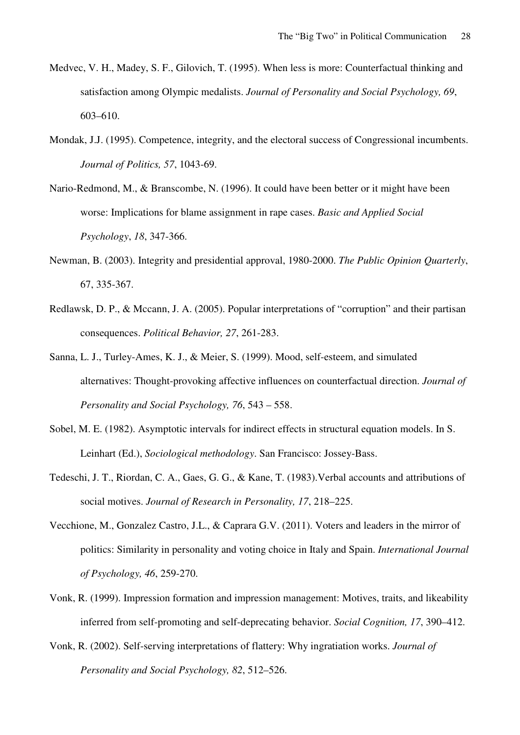- Medvec, V. H., Madey, S. F., Gilovich, T. (1995). When less is more: Counterfactual thinking and satisfaction among Olympic medalists. *Journal of Personality and Social Psychology, 69*, 603–610.
- Mondak, J.J. (1995). Competence, integrity, and the electoral success of Congressional incumbents. *Journal of Politics, 57*, 1043-69.
- Nario-Redmond, M., & Branscombe, N. (1996). It could have been better or it might have been worse: Implications for blame assignment in rape cases. *Basic and Applied Social Psychology*, *18*, 347-366.
- Newman, B. (2003). Integrity and presidential approval, 1980-2000. *The Public Opinion Quarterly*, 67, 335-367.
- Redlawsk, D. P., & Mccann, J. A. (2005). Popular interpretations of "corruption" and their partisan consequences. *Political Behavior, 27*, 261-283.
- Sanna, L. J., Turley-Ames, K. J., & Meier, S. (1999). Mood, self-esteem, and simulated alternatives: Thought-provoking affective influences on counterfactual direction. *Journal of Personality and Social Psychology, 76*, 543 – 558.
- Sobel, M. E. (1982). Asymptotic intervals for indirect effects in structural equation models. In S. Leinhart (Ed.), *Sociological methodology*. San Francisco: Jossey-Bass.
- Tedeschi, J. T., Riordan, C. A., Gaes, G. G., & Kane, T. (1983).Verbal accounts and attributions of social motives. *Journal of Research in Personality, 17*, 218–225.
- Vecchione, M., Gonzalez Castro, J.L., & Caprara G.V. (2011). Voters and leaders in the mirror of politics: Similarity in personality and voting choice in Italy and Spain. *International Journal of Psychology, 46*, 259-270.
- Vonk, R. (1999). Impression formation and impression management: Motives, traits, and likeability inferred from self-promoting and self-deprecating behavior. *Social Cognition, 17*, 390–412.
- Vonk, R. (2002). Self-serving interpretations of flattery: Why ingratiation works. *Journal of Personality and Social Psychology, 82*, 512–526.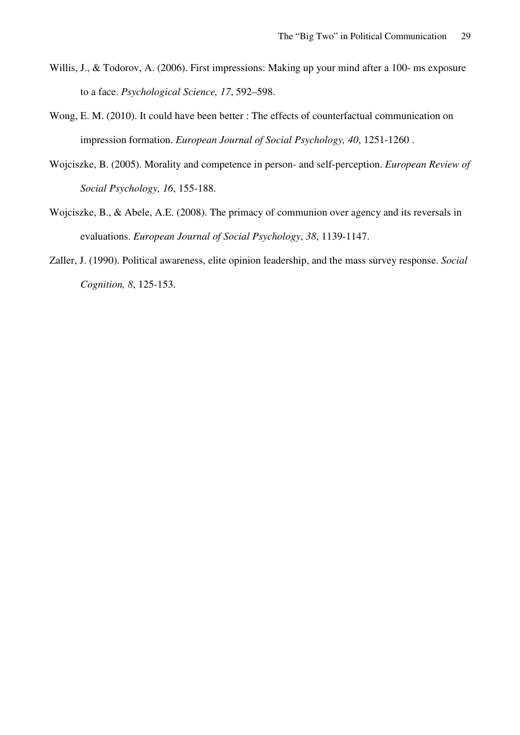- Willis, J., & Todorov, A. (2006). First impressions: Making up your mind after a 100- ms exposure to a face. *Psychological Science, 17*, 592–598.
- Wong, E. M. (2010). It could have been better : The effects of counterfactual communication on impression formation. *European Journal of Social Psychology, 40*, 1251-1260 .
- Wojciszke, B. (2005). Morality and competence in person- and self-perception. *European Review of Social Psychology, 16*, 155-188.
- Wojciszke, B., & Abele, A.E. (2008). The primacy of communion over agency and its reversals in evaluations. *European Journal of Social Psychology*, *38*, 1139-1147.
- Zaller, J. (1990). Political awareness, elite opinion leadership, and the mass survey response. *Social Cognition, 8*, 125-153.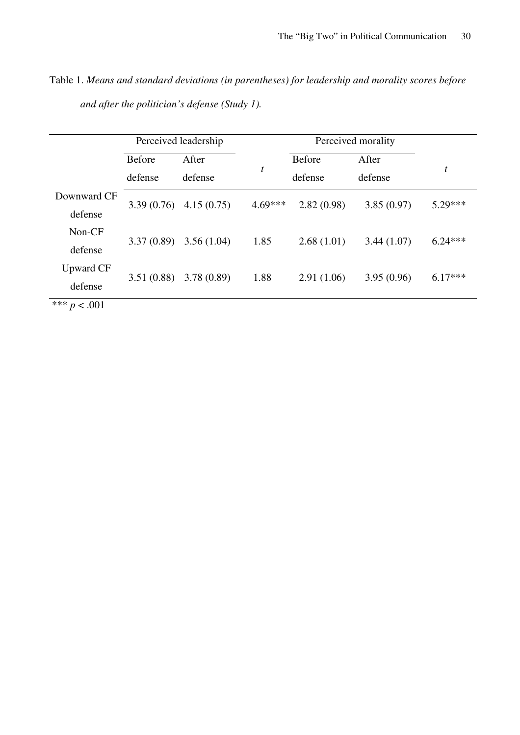|                | Perceived leadership |            |           |               |            |           |
|----------------|----------------------|------------|-----------|---------------|------------|-----------|
|                | <b>Before</b>        | After      |           | <b>Before</b> | After      |           |
|                | defense              | defense    | t         | defense       | defense    | t         |
| Downward CF    | 3.39(0.76)           | 4.15(0.75) | $4.69***$ | 2.82(0.98)    | 3.85(0.97) | 5.29***   |
| defense        |                      |            |           |               |            |           |
| Non-CF         | 3.37(0.89)           | 3.56(1.04) |           | 2.68(1.01)    | 3.44(1.07) | $6.24***$ |
| defense        |                      |            | 1.85      |               |            |           |
| Upward CF      | 3.51(0.88)           | 3.78(0.89) | 1.88      | 2.91(1.06)    | 3.95(0.96) | $6.17***$ |
| defense        |                      |            |           |               |            |           |
| *** $p < .001$ |                      |            |           |               |            |           |

Table 1. *Means and standard deviations (in parentheses) for leadership and morality scores before and after the politician's defense (Study 1).*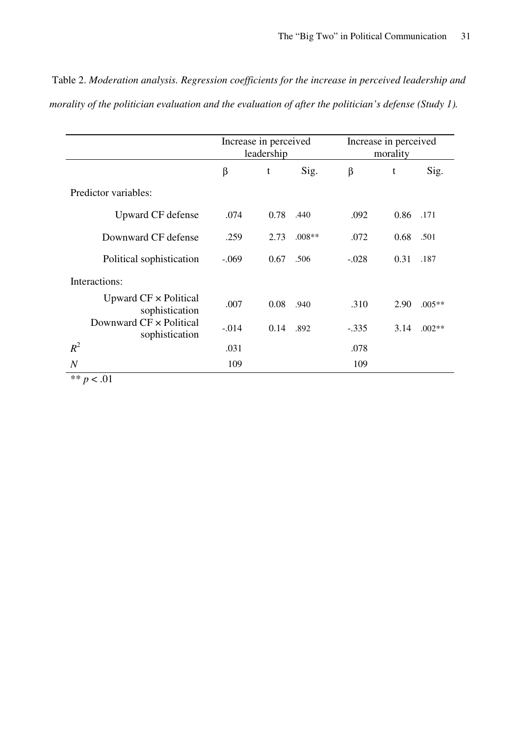|                                                | Increase in perceived<br>leadership |      |          | Increase in perceived<br>morality |      |          |
|------------------------------------------------|-------------------------------------|------|----------|-----------------------------------|------|----------|
|                                                | β                                   | t    | Sig.     | β                                 | t    | Sig.     |
| Predictor variables:                           |                                     |      |          |                                   |      |          |
| Upward CF defense                              | .074                                | 0.78 | .440     | .092                              | 0.86 | .171     |
| Downward CF defense                            | .259                                | 2.73 | $.008**$ | .072                              | 0.68 | .501     |
| Political sophistication                       | $-.069$                             | 0.67 | .506     | $-.028$                           | 0.31 | .187     |
| Interactions:                                  |                                     |      |          |                                   |      |          |
| Upward $CF \times$ Political<br>sophistication | .007                                | 0.08 | .940     | .310                              | 2.90 | $.005**$ |
| Downward CF x Political<br>sophistication      | $-.014$                             | 0.14 | .892     | $-.335$                           | 3.14 | $.002**$ |
| $R^2$                                          | .031                                |      |          | .078                              |      |          |
| $\boldsymbol{N}$                               | 109                                 |      |          | 109                               |      |          |

 Table 2. *Moderation analysis. Regression coefficients for the increase in perceived leadership and morality of the politician evaluation and the evaluation of after the politician's defense (Study 1).*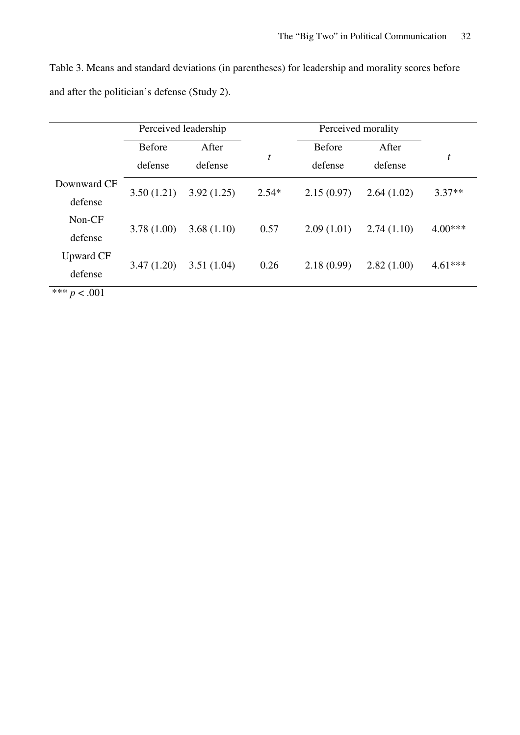Table 3. Means and standard deviations (in parentheses) for leadership and morality scores before and after the politician's defense (Study 2).

|                           | Perceived leadership |            |         | Perceived morality |            |           |
|---------------------------|----------------------|------------|---------|--------------------|------------|-----------|
|                           | <b>Before</b>        | After      |         | <b>Before</b>      | After      | t         |
|                           | defense              | defense    | t       | defense            | defense    |           |
| Downward CF               |                      |            |         |                    |            | $3.37**$  |
| defense                   | 3.50(1.21)           | 3.92(1.25) | $2.54*$ | 2.15(0.97)         | 2.64(1.02) |           |
| Non-CF                    |                      |            |         |                    |            |           |
| defense                   | 3.78(1.00)           | 3.68(1.10) | 0.57    | 2.09(1.01)         | 2.74(1.10) | $4.00***$ |
| Upward CF                 |                      |            |         |                    |            |           |
| defense                   | 3.47(1.20)           | 3.51(1.04) | 0.26    | 2.18(0.99)         | 2.82(1.00) | $4.61***$ |
| مله مله مله<br>$\sim$ 001 |                      |            |         |                    |            |           |

 $\frac{1}{100}$  \*\*\* *p* < .001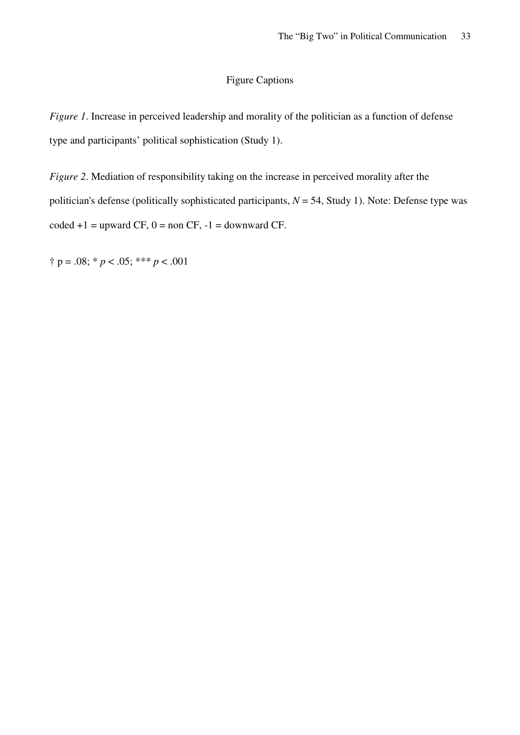#### Figure Captions

*Figure 1*. Increase in perceived leadership and morality of the politician as a function of defense type and participants' political sophistication (Study 1).

*Figure 2.* Mediation of responsibility taking on the increase in perceived morality after the politician's defense (politically sophisticated participants, *N* = 54, Study 1). Note: Defense type was  $\text{coded} + 1 = \text{upward CF}, 0 = \text{non CF}, -1 = \text{downward CF}.$ 

 $\uparrow$  p = .08; \* *p* < .05; \*\*\* *p* < .001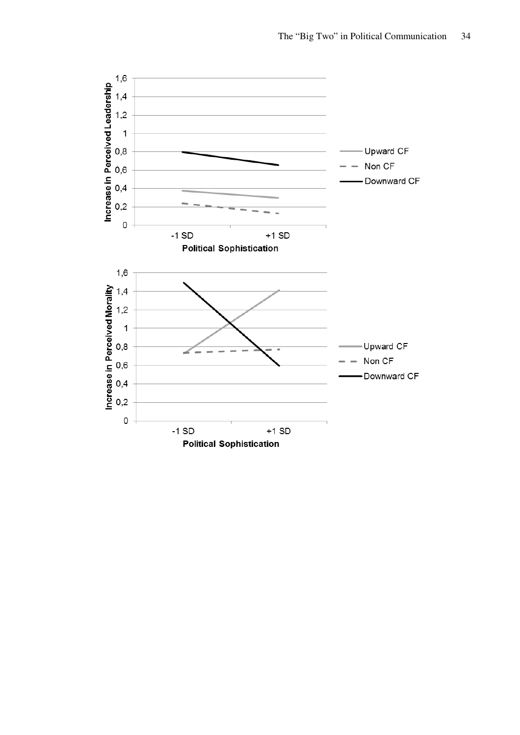